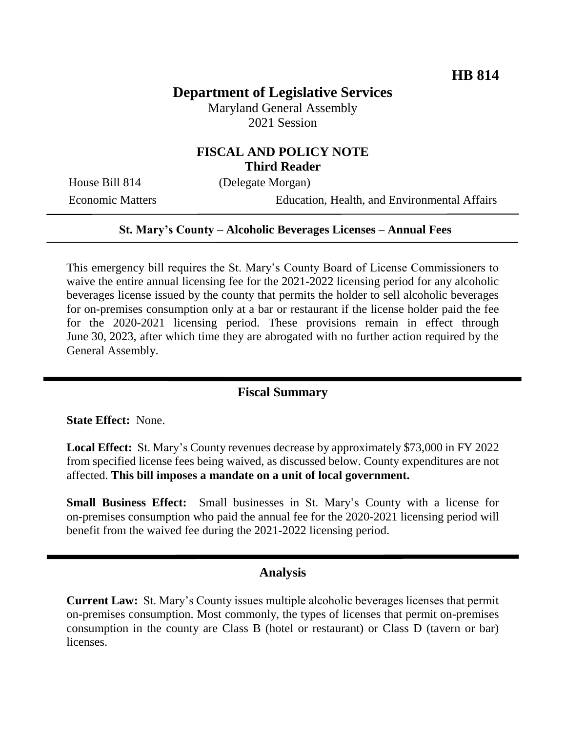# **Department of Legislative Services**

Maryland General Assembly 2021 Session

## **FISCAL AND POLICY NOTE Third Reader**

House Bill 814 (Delegate Morgan)

Economic Matters Education, Health, and Environmental Affairs

#### **St. Mary's County – Alcoholic Beverages Licenses – Annual Fees**

This emergency bill requires the St. Mary's County Board of License Commissioners to waive the entire annual licensing fee for the 2021-2022 licensing period for any alcoholic beverages license issued by the county that permits the holder to sell alcoholic beverages for on-premises consumption only at a bar or restaurant if the license holder paid the fee for the 2020-2021 licensing period. These provisions remain in effect through June 30, 2023, after which time they are abrogated with no further action required by the General Assembly.

### **Fiscal Summary**

**State Effect:** None.

**Local Effect:** St. Mary's County revenues decrease by approximately \$73,000 in FY 2022 from specified license fees being waived, as discussed below. County expenditures are not affected. **This bill imposes a mandate on a unit of local government.**

**Small Business Effect:** Small businesses in St. Mary's County with a license for on-premises consumption who paid the annual fee for the 2020-2021 licensing period will benefit from the waived fee during the 2021-2022 licensing period.

### **Analysis**

**Current Law:** St. Mary's County issues multiple alcoholic beverages licenses that permit on-premises consumption. Most commonly, the types of licenses that permit on-premises consumption in the county are Class B (hotel or restaurant) or Class D (tavern or bar) licenses.